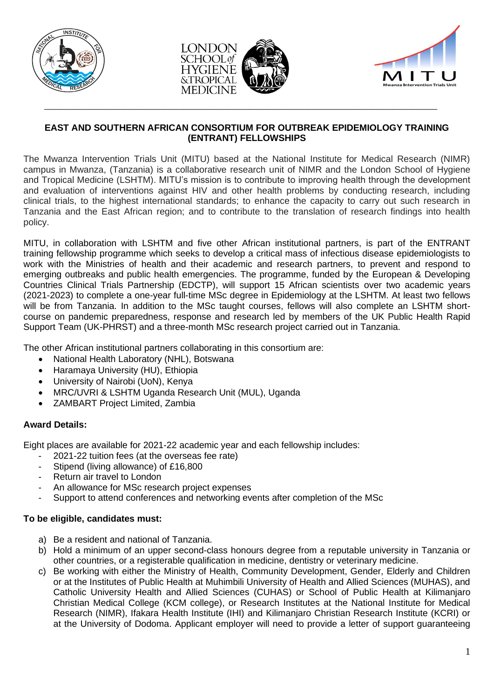



\_\_\_\_\_\_\_\_\_\_\_\_\_\_\_\_\_\_\_\_\_\_\_\_\_\_\_\_\_\_\_\_\_\_\_\_\_\_\_\_\_\_\_\_\_\_\_\_\_\_\_\_\_\_\_\_\_\_\_\_\_\_\_\_\_\_\_\_\_\_\_\_\_\_\_\_\_\_\_



## **EAST AND SOUTHERN AFRICAN CONSORTIUM FOR OUTBREAK EPIDEMIOLOGY TRAINING (ENTRANT) FELLOWSHIPS**

The Mwanza Intervention Trials Unit (MITU) based at the National Institute for Medical Research (NIMR) campus in Mwanza, (Tanzania) is a collaborative research unit of NIMR and the London School of Hygiene and Tropical Medicine (LSHTM). MITU's mission is to contribute to improving health through the development and evaluation of interventions against HIV and other health problems by conducting research, including clinical trials, to the highest international standards; to enhance the capacity to carry out such research in Tanzania and the East African region; and to contribute to the translation of research findings into health policy.

MITU, in collaboration with LSHTM and five other African institutional partners, is part of the ENTRANT training fellowship programme which seeks to develop a critical mass of infectious disease epidemiologists to work with the Ministries of health and their academic and research partners, to prevent and respond to emerging outbreaks and public health emergencies. The programme, funded by the European & Developing Countries Clinical Trials Partnership (EDCTP), will support 15 African scientists over two academic years (2021-2023) to complete a one-year full-time MSc degree in Epidemiology at the LSHTM. At least two fellows will be from Tanzania. In addition to the MSc taught courses, fellows will also complete an LSHTM shortcourse on pandemic preparedness, response and research led by members of the UK Public Health Rapid Support Team (UK-PHRST) and a three-month MSc research project carried out in Tanzania.

The other African institutional partners collaborating in this consortium are:

- National Health Laboratory (NHL), Botswana
- Haramaya University (HU), Ethiopia
- University of Nairobi (UoN), Kenya
- MRC/UVRI & LSHTM Uganda Research Unit (MUL), Uganda
- ZAMBART Project Limited, Zambia

# **Award Details:**

Eight places are available for 2021-22 academic year and each fellowship includes:

- 2021-22 tuition fees (at the overseas fee rate)
- Stipend (living allowance) of £16,800
- Return air travel to London
- An allowance for MSc research project expenses
- Support to attend conferences and networking events after completion of the MSc

# **To be eligible, candidates must:**

- a) Be a resident and national of Tanzania.
- b) Hold a minimum of an upper second-class honours degree from a reputable university in Tanzania or other countries, or a registerable qualification in medicine, dentistry or veterinary medicine.
- c) Be working with either the Ministry of Health, Community Development, Gender, Elderly and Children or at the Institutes of Public Health at Muhimbili University of Health and Allied Sciences (MUHAS), and Catholic University Health and Allied Sciences (CUHAS) or School of Public Health at Kilimanjaro Christian Medical College (KCM college), or Research Institutes at the National Institute for Medical Research (NIMR), Ifakara Health Institute (IHI) and Kilimanjaro Christian Research Institute (KCRI) or at the University of Dodoma. Applicant employer will need to provide a letter of support guaranteeing